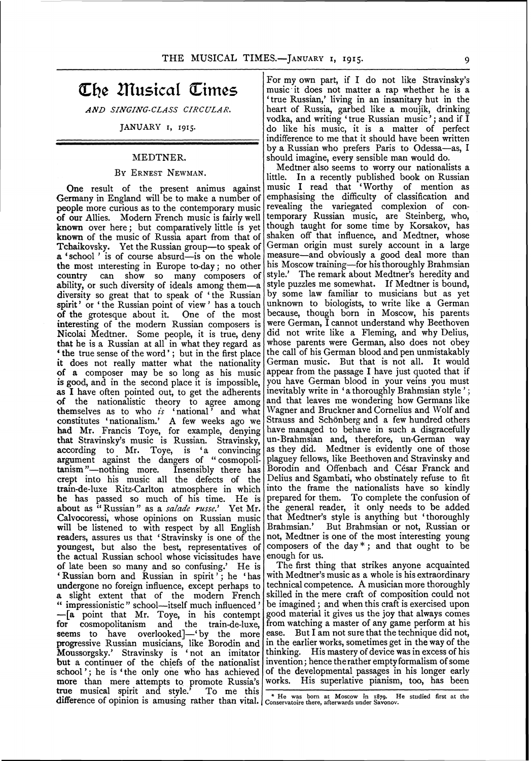# **CLne musical CLimes**

*AND SINGING-CLASS CIRCULAR.* 

### JANUARY I, 1915·

#### MEDTNER.

#### BY ERNEST NEWMAN.

One result of the present animus against Germany in England will be to make a number of people more curious as to the contemporary music of our Allies. Modern French music is fairly well known over here; but comparatively little is yet known of the music of Russia apart from that of Tchaikovsky. Yet the Russian group-to speak of a 'school' is of course absurd-is on the whole the most mteresting in Europe to-day; no other country can show so many composers of ability, or such diversity of ideals among them-a diversity so great that to speak of ' the Russian spirit' or ' the Russian point of view ' has a touch of the grotesque about it. One of the most interesting of the modern Russian composers is Nicolai Medtner. Some people, it is true, deny that he is a Russian at all in what they regard as ' the true sense of the word' ; but in the first place it does not really matter what the nationality of a composer may be so long as his music is good, and in the second place it is impossible, as I have often pointed out, to get the adherents of the nationalistic theory to agree among themselves as to who *is* 'national ' and what constitutes 'nationalism.' A few weeks ago we had Mr. Francis Toye, for example, denying that Stravinsky's music is Russian. Stravinsky, according to Mr. Toye, is 'a convincing argument against the dangers of "cosmopoli-<br>tanism"—nothing more. Insensibly there has tanism "--nothing more. crept into his music all the defects of the train-de-luxe Ritz-Carlton atmosphere in which he has passed so much of his time. He is about as "Russian" as a *salade russe.'* Yet Mr. Calvocoressi, whose opinions on Russian music will be listened to with respect by all English readers, assures us that 'Stravinsky is one of the youngest, but also the best, representatives of the actual Russian school whose vicissitudes have of late been so many and so confusing.' He is ' Russian born and Russian in spirit'; he 'has undergone no foreign influence, except perhaps to a slight extent that of the modern French " impressionistic " school--itself much influenced '  $-[a]$  point that Mr. Toye, in his contempt for cosmopolitanism and the train-de-luxe, cosmopolitanism seems to have overlooked]-'by the more progressive Russian musicians, like Borodin and Moussorgsky.' Stravinsky is 'not an imitator but a continuer of the chiefs of the nationalist school'; he is 'the only one who has achieved of the developmental passages in his longer early more than mere attempts to promote Russia's true musical spirit and style.' To me this difference of opinion is amusing rather than vital. The was born at Moscow in 1879. He studied first at the difference of opinion is amusing rather than vital. Conservatoire there, afterwards under Savonov.

For my own part, if I do not like Stravinsky's music· it does not matter a rap whether he is a 'true Russian,' living in an insanitary hut in the heart of Russia, garbed like a moujik, drinking vodka, and writing 'true Russian music'; and if I do like his music, it is a matter of perfect indifference to me that it should have been written by a Russian who prefers Paris to Odessa-as, I should imagine, every sensible man would do.

Medtner also seems to worry our nationalists a little. In a recently published book on Russian music I read that 'Worthy of mention as emphasising the difficulty of classification and revealing the variegated complexion of contemporary Russian music, are Steinberg, who, though taught for some time by Korsakov, has shaken off that influence, and Medtner, whose German origin must surely account in a large measure-and obviously a good deal more than his Moscow training-for his thoroughly Brahmsian style.' The remark about Medtner's heredity and style puzzles me somewhat. If Medtner is bound, by some law familiar to musicians but as yet unknown to biologists, to write like a German because, though born in Moscow, his parents were German, I cannot understand why Beethoven did not write like a Fleming, and why Delius, whose parents were German, also does not obey the call of his German blood and pen unmistakably German music. But that is not all. It would appear from the passage I have just quoted that if you have German blood in your veins you must inevitably write in 'a thoroughly Brahmsian style '; and that leaves me wondering how Germans like Wagner and Bruckner and Cornelius and Wolf and Strauss and Schonberg and a few hundred others have managed to behave in such a disgracefully un-Brahmsian and, therefore, un-German way as they did. Medtner is evidently one of those plaguey fellows, like Beethoven and Stravinsky and Borodin and Offenbach and César Franck and Delius and Sgambati, who obstinately refuse to fit into the frame the nationalists have so kindly prepared for them. To complete the confusion of the general reader, it only needs to be added that Medtner's style is anything but 'thoroughly Brahmsian.' But Brahmsian or not, Russian or not, Medtner is one of the most interesting young composers of the day\*; and that ought to be enough for us.

The first thing that strikes anyone acquainted with Medtner's music as a whole is his extraordinary technical competence. A musician more thoroughly skilled in the mere craft of composition could not be imagined ; and when this craft is exercised upon good material it gives us the joy that always comes from watching a master of any game perform at his ease. But I am not sure that the technique did not, in the earlier works, sometimes get in the way of the thinking. His mastery of device was in excess of his invention; hence the rather empty formalism of some works. His superlative pianism, too, has been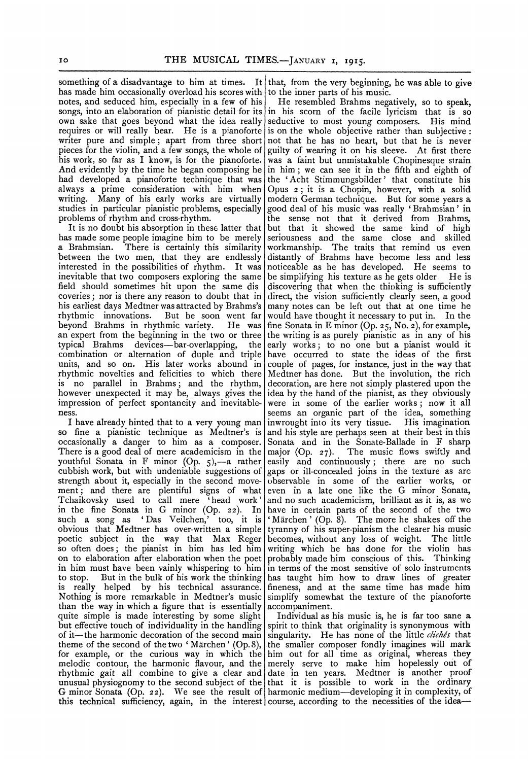something of a disadvantage to him at times. It that, from the very beginning, he was able to give has made him occasionally overload his scores with to the inner parts of his music. has made him occasionally overload his scores with to the inner parts of his music.<br>notes, and seduced him, especially in a few of his He resembled Brahms negatively, so to speak, notes, and seduced him, especially in a few of his He resembled Brahms negatively, so to speak, songs, into an elaboration of pianistic detail for its in his scorn of the facile lyricism that is so songs, into an elaboration of pianistic detail for its own sake that goes beyond what the idea really own sake that goes beyond what the idea really seductive to most young composers. His mind requires or will really bear. He is a pianoforte is on the whole objective rather than subjective : requires or will really bear. He is a pianoforte is on the whole objective rather than subjective :<br>writer pure and simple; apart from three short not that he has no heart, but that he is never writer pure and simple; apart from three short not that he has no heart, but that he is never pieces for the violin, and a few songs, the whole of guilty of wearing it on his sleeve. At first there his work, so far as I know, is for the pianoforte. And evidently by the time he began composing he in him; we can see it in the fifth and eighth of had developed a pianoforte technique that was the 'Acht Stimmungsbilder' that constitute his had developed a pianoforte technique that was always a prime consideration with him when always a prime consideration with him when Opus  $2$ ; it is a Chopin, however, with a solid writing. Many of his early works are virtually modern German technique. But for some years a writing. Many of his early works are virtually modern German technique. But for some years a studies in particular pianistic problems, especially good deal of his music was really 'Brahmsian' in studies in particular pianistic problems, especially good deal of his music was really 'Brahmsian' in

has made some people imagine him to be merely a Brahmsian. There is certainly this similarity a Brahmsian. There is certainly this similarity workmanship. The traits that remind us even<br>between the two men, that they are endlessly distantly of Brahms have become less and less interested in the possibilities of rhythm. It was noticeable as he has developed. He seems to inevitable that two composers exploring the same be simplifying his texture as he gets older. He is inevitable that two composers exploring the same field should sometimes hit upon the same dis coveries; nor is there any reason to doubt that in direct, the vision sufficiently clearly seen, a good his earliest days Medtner was attracted by Brahms's many notes can be left out that at one time he rhythmic innovations. But he soon went far would have thought it necessary to put in. In the rhythmic innovations. But he soon went far would have thought it necessary to put in. In the beyond Brahms in rhythmic variety. He was fine Sonata in Eminor (Op. 25, No. 2), for example, beyond Brahms in rhythmic variety. He was fine Sonata in E minor (Op. 25, No. 2), for example, an expert from the beginning in the two or three the writing is as purely pianistic as in any of his an expert from the beginning in the two or three the writing is as purely pianistic as in any of his typical Brahms devices—bar-overlapping, the early works; to no one but a pianist would it typical Brahms devices—bar-overlapping, the early works; to no one but a pianist would it<br>combination or alternation of duple and triple have occurred to state the ideas of the first units, and so on. His later works abound in rhythmic novelties and felicities to which there Medtner has done. But the involution, the rich<br>is no parallel in Brahms; and the rhythm, decoration, are here not simply plastered upon the however unexpected it may be, always gives the idea by the hand of the pianist, as they obviously impression of perfect spontaneity and inevitable- were in some of the earlier works; now it all impression of perfect spontaneity and inevitable-

so fine a pianistic technique as Medtner's is occasionally a danger to him as a composer. occasionally a danger to him as a composer. Sonata and in the Sonate-Ballade in F sharp<br>There is a good deal of mere academicism in the major (Op. 27). The music flows swiftly and There is a good deal of mere academicism in the major (Op. 27). The music flows swiftly and youthful Sonata in F minor (Op. 5),—a rather easily and continuously; there are no such youthful Sonata in F minor (Op. 5),—a rather easily and continuously; there are no such cubbish work, but with undeniable suggestions of gaps or ill-concealed joins in the texture as are strength about it, especially in t strength about it, especially in the second move- observable in some of the earlier works, or ment; and there are plentiful signs of what even in a late one like the G minor Sonata, ment; and there are plentiful signs of what even in a late one like the G minor Sonata, Tchaikovsky used to call mere 'head work' and no such academicism, brilliant as it is, as we in the fine Sonata in G minor (Op. 22). In such a song as 'Das Veilchen,' too, it is obvious that Medtner has over-written a simple tyranny of his super-pianism the clearer his music poetic subject in the way that Max Reger becomes, without any loss of weight. The little so often does; the pianist in him has led him writing which he has done for the violin has on to elaboration after elaboration when the poet probably made him conscious of this. Thinking in him must have been vainly whispering to him in terms of the most sensitive of solo instruments in him must have been vainly whispering to him to stop. But in the bulk of his work the thinking has taught him how to draw lines of greater<br>is really helped by his technical assurance. fineness, and at the same time has made him is really helped by his technical assurance. fineness, and at the same time has made him<br>Nothing is more remarkable in Medtner's music simplify somewhat the texture of the pianoforte than the way in which a figure that is essentially  $|$  accompaniment. quite simple is made interesting by some slight | Individual as his music is, he is far too sane a but effective touch of individuality in the handling spirit to think that originality is synonymous with of it—the harmonic decoration of the second main singularity. He has none of the little *clichés* that theme of the second of the two 'Märchen' (Op.8), the smaller composer fondly imagines will mark for example, or the curious way in which the melodic contour, the harmonic flavour, and the merely serve to make him hopelessly out of rhythmic gait all combine to give a clear and date in ten years. Medtner is another proof unusual physiognomy to the second subject of the that it is possible to work in the ordinary G minor Sonata (Op. 22). We see the result of harmonic medium-developing it in complexity, of this technical sufficiency, again, in the interest course, according to the necessities of the idea-

guilty of wearing it on his sleeve. At first there was a faint but unmistakable Chopinesque strain problems of rhythm and cross-rhythm. The sense not that it derived from Brahms, It is no doubt his absorption in these latter that  $\vert$  but that it showed the same kind of high is made some people imagine him to be merely seriousness and the same close and skilled distantly of Brahms have become less and less noticeable as he has developed. He seems to discovering that when the thinking is sufficiently have occurred to state the ideas of the first couple of pages, for instance, just in the way that decoration, are here not simply plastered upon the ness.<br>I have already hinted that to a very young man inwrought into its very tissue. His imagination inwrought into its very tissue. His imagination and his style are perhaps seen at their best in this and no such academicism, brilliant as it is, as we have in certain parts of the second of the two 'Märchen' (Op. 8). The more he shakes off the simplify somewhat the texture of the pianoforte

the smaller composer fondly imagines will mark<br>him out for all time as original, whereas they